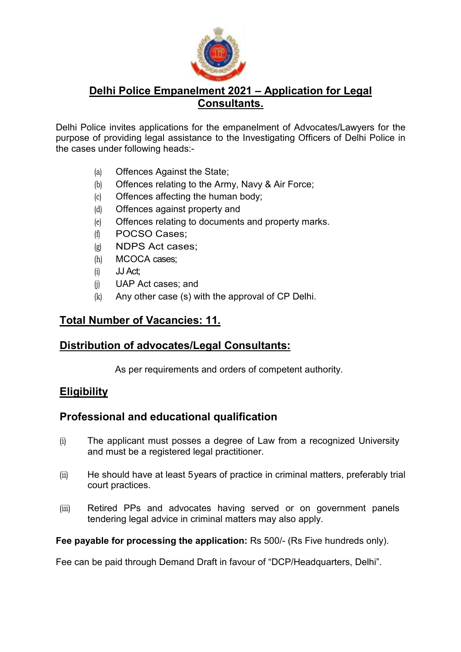

#### **Delhi Police Empanelment 2021 – Application for Legal Consultants.**

Delhi Police invites applications for the empanelment of Advocates/Lawyers for the purpose of providing legal assistance to the Investigating Officers of Delhi Police in the cases under following heads:-

- (a) Offences Against the State;
- (b) Offences relating to the Army, Navy & Air Force;
- (c) Offences affecting the human body;
- (d) Offences against property and
- (e) Offences relating to documents and property marks.
- (f) POCSO Cases;
- (g) NDPS Act cases;
- (h) MCOCA cases;
- (i) JJ Act;
- (j) UAP Act cases; and
- (k) Any other case (s) with the approval of CP Delhi.

## **Total Number of Vacancies: 11.**

## **Distribution of advocates/Legal Consultants:**

As per requirements and orders of competent authority.

## **Eligibility**

## **Professional and educational qualification**

- (i) The applicant must posses a degree of Law from a recognized University and must be a registered legal practitioner.
- (ii) He should have at least 5 years of practice in criminal matters, preferably trial court practices.
- (iii) Retired PPs and advocates having served or on government panels tendering legal advice in criminal matters may also apply.

#### **Fee payable for processing the application:** Rs 500/- (Rs Five hundreds only).

Fee can be paid through Demand Draft in favour of "DCP/Headquarters, Delhi".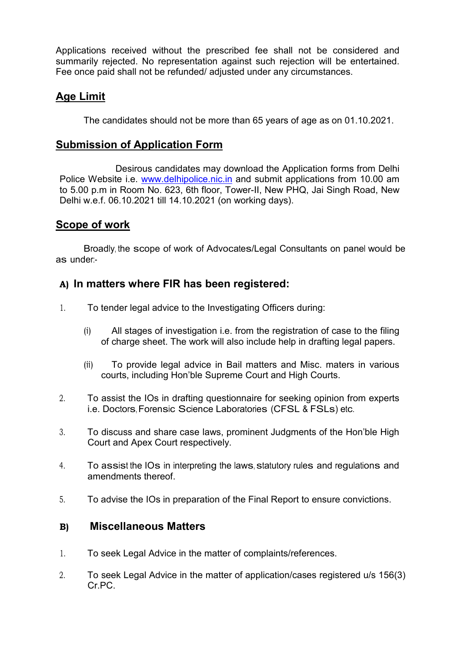Applications received without the prescribed fee shall not be considered and summarily rejected. No representation against such rejection will be entertained. Fee once paid shall not be refunded/ adjusted under any circumstances.

## **Age Limit**

The candidates should not be more than 65 years of age as on 01.10.2021.

## **Submission of Application Form**

Desirous candidates may download the Application forms from Delhi Police Website i.e. www.delhipolice.nic.in and submit applications from 10.00 am to 5.00 p.m in Room No. 623, 6th floor, Tower-II, New PHQ, Jai Singh Road, New Delhi w.e.f. 06.10.2021 till 14.10.2021 (on working days).

## **Scope of work**

 Broadly, the scope of work of Advocates/Legal Consultants on panel would be as under:-

## **A) In matters where FIR has been registered:**

- 1. To tender legal advice to the Investigating Officers during:
	- (i) All stages of investigation i.e. from the registration of case to the filing of charge sheet. The work will also include help in drafting legal papers.
	- (ii) To provide legal advice in Bail matters and Misc. maters in various courts, including Hon'ble Supreme Court and High Courts.
- 2. To assist the IOs in drafting questionnaire for seeking opinion from experts i.e. Doctors, Forensic Science Laboratories (CFSL & FSLs) etc.
- 3. To discuss and share case laws, prominent Judgments of the Hon'ble High Court and Apex Court respectively.
- 4. To assist the IOs in interpreting the laws, statutory rules and regulations and amendments thereof.
- 5. To advise the IOs in preparation of the Final Report to ensure convictions.

## **B) Miscellaneous Matters**

- 1. To seek Legal Advice in the matter of complaints/references.
- 2. To seek Legal Advice in the matter of application/cases registered u/s 156(3) Cr. PC.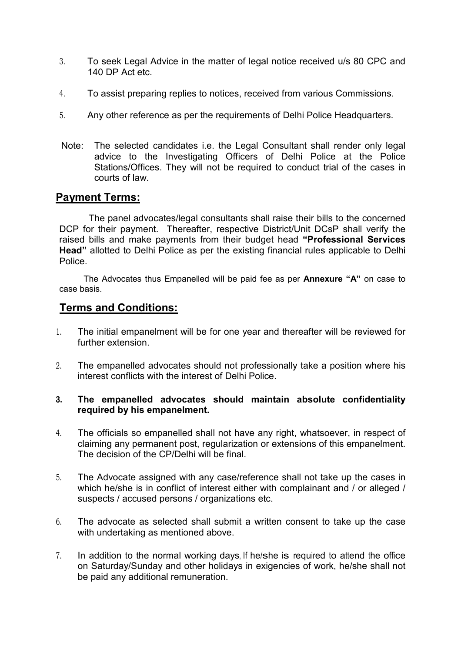- 3. To seek Legal Advice in the matter of legal notice received u/s 80 CPC and 140 DP Act etc.
- 4. To assist preparing replies to notices, received from various Commissions.
- 5. Any other reference as per the requirements of Delhi Police Headquarters.
- Note: The selected candidates i.e. the Legal Consultant shall render only legal advice to the Investigating Officers of Delhi Police at the Police Stations/Offices. They will not be required to conduct trial of the cases in courts of law.

#### **Payment Terms:**

 The panel advocates/legal consultants shall raise their bills to the concerned DCP for their payment. Thereafter, respective District/Unit DCsP shall verify the raised bills and make payments from their budget head **"Professional Services Head"** allotted to Delhi Police as per the existing financial rules applicable to Delhi Police.

 The Advocates thus Empanelled will be paid fee as per **Annexure "A"** on case to case basis.

#### **Terms and Conditions:**

- 1. The initial empanelment will be for one year and thereafter will be reviewed for further extension.
- 2. The empanelled advocates should not professionally take a position where his interest conflicts with the interest of Delhi Police.

#### **3. The empanelled advocates should maintain absolute confidentiality required by his empanelment.**

- 4. The officials so empanelled shall not have any right, whatsoever, in respect of claiming any permanent post, regularization or extensions of this empanelment. The decision of the CP/Delhi will be final.
- 5. The Advocate assigned with any case/reference shall not take up the cases in which he/she is in conflict of interest either with complainant and / or alleged / suspects / accused persons / organizations etc.
- 6. The advocate as selected shall submit a written consent to take up the case with undertaking as mentioned above.
- 7. In addition to the normal working days, If he/she is required to attend the office on Saturday/Sunday and other holidays in exigencies of work, he/she shall not be paid any additional remuneration.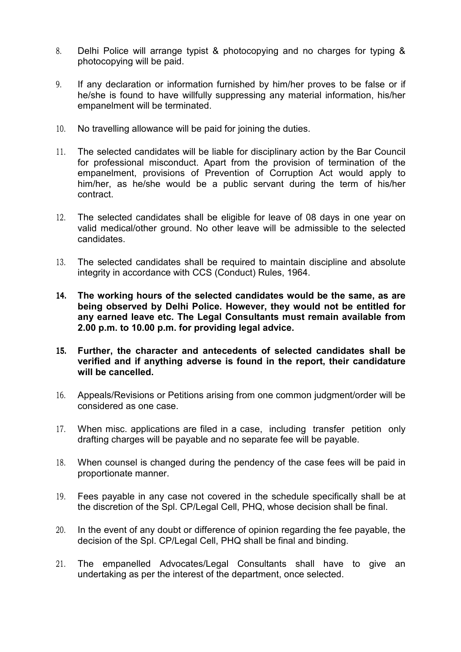- 8. Delhi Police will arrange typist & photocopying and no charges for typing & photocopying will be paid.
- 9. If any declaration or information furnished by him/her proves to be false or if he/she is found to have willfully suppressing any material information, his/her empanelment will be terminated.
- 10. No travelling allowance will be paid for joining the duties.
- 11. The selected candidates will be liable for disciplinary action by the Bar Council for professional misconduct. Apart from the provision of termination of the empanelment, provisions of Prevention of Corruption Act would apply to him/her, as he/she would be a public servant during the term of his/her contract.
- 12. The selected candidates shall be eligible for leave of 08 days in one year on valid medical/other ground. No other leave will be admissible to the selected candidates.
- 13. The selected candidates shall be required to maintain discipline and absolute integrity in accordance with CCS (Conduct) Rules, 1964.
- **14. The working hours of the selected candidates would be the same, as are being observed by Delhi Police. However, they would not be entitled for any earned leave etc. The Legal Consultants must remain available from 2.00 p.m. to 10.00 p.m. for providing legal advice.**
- **15. Further, the character and antecedents of selected candidates shall be verified and if anything adverse is found in the report, their candidature will be cancelled.**
- 16. Appeals/Revisions or Petitions arising from one common judgment/order will be considered as one case.
- 17. When misc. applications are filed in a case, including transfer petition only drafting charges will be payable and no separate fee will be payable.
- 18. When counsel is changed during the pendency of the case fees will be paid in proportionate manner.
- 19. Fees payable in any case not covered in the schedule specifically shall be at the discretion of the Spl. CP/Legal Cell, PHQ, whose decision shall be final.
- 20. In the event of any doubt or difference of opinion regarding the fee payable, the decision of the Spl. CP/Legal Cell, PHQ shall be final and binding.
- 21. The empanelled Advocates/Legal Consultants shall have to give an undertaking as per the interest of the department, once selected.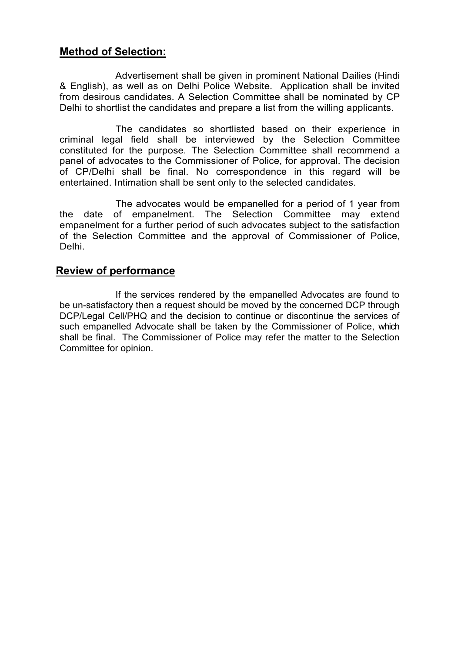## **Method of Selection:**

Advertisement shall be given in prominent National Dailies (Hindi & English), as well as on Delhi Police Website. Application shall be invited from desirous candidates. A Selection Committee shall be nominated by CP Delhi to shortlist the candidates and prepare a list from the willing applicants.

The candidates so shortlisted based on their experience in criminal legal field shall be interviewed by the Selection Committee constituted for the purpose. The Selection Committee shall recommend a panel of advocates to the Commissioner of Police, for approval. The decision of CP/Delhi shall be final. No correspondence in this regard will be entertained. Intimation shall be sent only to the selected candidates.

The advocates would be empanelled for a period of 1 year from the date of empanelment. The Selection Committee may extend empanelment for a further period of such advocates subject to the satisfaction of the Selection Committee and the approval of Commissioner of Police, Delhi.

#### **Review of performance**

If the services rendered by the empanelled Advocates are found to be un-satisfactory then a request should be moved by the concerned DCP through DCP/Legal Cell/PHQ and the decision to continue or discontinue the services of such empanelled Advocate shall be taken by the Commissioner of Police, which shall be final. The Commissioner of Police may refer the matter to the Selection Committee for opinion.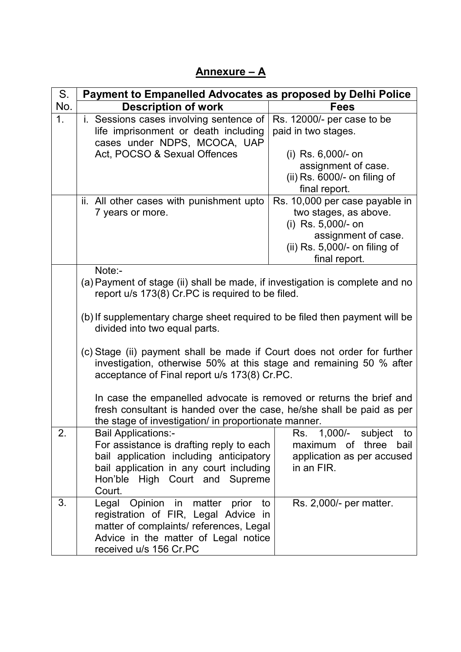# **Annexure – A**

| S.  | <b>Payment to Empanelled Advocates as proposed by Delhi Police</b>                                                                                                                                   |                                                                                                      |  |  |
|-----|------------------------------------------------------------------------------------------------------------------------------------------------------------------------------------------------------|------------------------------------------------------------------------------------------------------|--|--|
| No. | <b>Description of work</b>                                                                                                                                                                           | <b>Fees</b>                                                                                          |  |  |
| 1.  | i. Sessions cases involving sentence of<br>life imprisonment or death including<br>cases under NDPS, MCOCA, UAP                                                                                      | Rs. 12000/- per case to be<br>paid in two stages.                                                    |  |  |
|     | Act, POCSO & Sexual Offences                                                                                                                                                                         | (i) Rs. 6,000/- on                                                                                   |  |  |
|     |                                                                                                                                                                                                      | assignment of case.<br>(ii) $Rs. 6000/-$ on filing of                                                |  |  |
|     |                                                                                                                                                                                                      | final report.                                                                                        |  |  |
|     | ii. All other cases with punishment upto<br>7 years or more.                                                                                                                                         | Rs. 10,000 per case payable in<br>two stages, as above.<br>(i) Rs. 5,000/- on<br>assignment of case. |  |  |
|     |                                                                                                                                                                                                      | (ii) $Rs. 5,000/-$ on filing of<br>final report.                                                     |  |  |
|     | Note:-<br>(a) Payment of stage (ii) shall be made, if investigation is complete and no<br>report u/s 173(8) Cr.PC is required to be filed.                                                           |                                                                                                      |  |  |
|     | (b) If supplementary charge sheet required to be filed then payment will be<br>divided into two equal parts.                                                                                         |                                                                                                      |  |  |
|     | (c) Stage (ii) payment shall be made if Court does not order for further<br>investigation, otherwise 50% at this stage and remaining 50 % after<br>acceptance of Final report u/s 173(8) Cr.PC.      |                                                                                                      |  |  |
|     | In case the empanelled advocate is removed or returns the brief and<br>fresh consultant is handed over the case, he/she shall be paid as per<br>the stage of investigation/ in proportionate manner. |                                                                                                      |  |  |
| 2.  | <b>Bail Applications:-</b>                                                                                                                                                                           | Rs. 1,000/- subject to                                                                               |  |  |
|     | For assistance is drafting reply to each                                                                                                                                                             | maximum of three<br>bail                                                                             |  |  |
|     | bail application including anticipatory<br>bail application in any court including                                                                                                                   | application as per accused<br>in an FIR.                                                             |  |  |
|     | Hon'ble High Court and Supreme                                                                                                                                                                       |                                                                                                      |  |  |
|     | Court.                                                                                                                                                                                               |                                                                                                      |  |  |
| 3.  | Legal Opinion in matter prior<br>to<br>registration of FIR, Legal Advice in<br>matter of complaints/ references, Legal                                                                               | Rs. 2,000/- per matter.                                                                              |  |  |
|     | Advice in the matter of Legal notice<br>received u/s 156 Cr.PC                                                                                                                                       |                                                                                                      |  |  |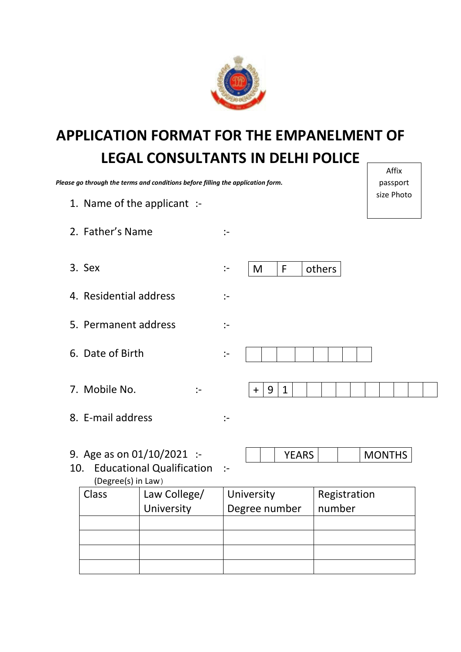

# **APPLICATION FORMAT FOR THE EMPANELMENT OF LEGAL CONSULTANTS IN DELHI POLICE Affix**

|                           | Please go through the terms and conditions before filling the application form. |                       |                          |              | 1.111A<br>passport |  |
|---------------------------|---------------------------------------------------------------------------------|-----------------------|--------------------------|--------------|--------------------|--|
|                           | 1. Name of the applicant :-                                                     |                       |                          |              | size Photo         |  |
| 2. Father's Name          |                                                                                 | :-                    |                          |              |                    |  |
| 3. Sex                    |                                                                                 | $\mathbf{I}$          | F<br>M                   | others       |                    |  |
| 4. Residential address    |                                                                                 | $\mathbf{I}$          |                          |              |                    |  |
| 5. Permanent address      |                                                                                 | $\mathbf{L}$          |                          |              |                    |  |
| 6. Date of Birth          |                                                                                 | $\mathbf{L}$          |                          |              |                    |  |
| 7. Mobile No.             | $\cdot$ -                                                                       |                       | 9<br>$\mathbf{1}$<br>$+$ |              |                    |  |
| 8. E-mail address         |                                                                                 | $\mathrel{\mathop:}=$ |                          |              |                    |  |
| 10.<br>(Degree(s) in Law) | 9. Age as on $01/10/2021$ :-<br><b>Educational Qualification</b>                | $\mathbf{I}$          | <b>YEARS</b>             |              | <b>MONTHS</b>      |  |
| Class                     | Law College/                                                                    |                       | University               | Registration |                    |  |
|                           | University                                                                      |                       | Degree number            | number       |                    |  |
|                           |                                                                                 |                       |                          |              |                    |  |